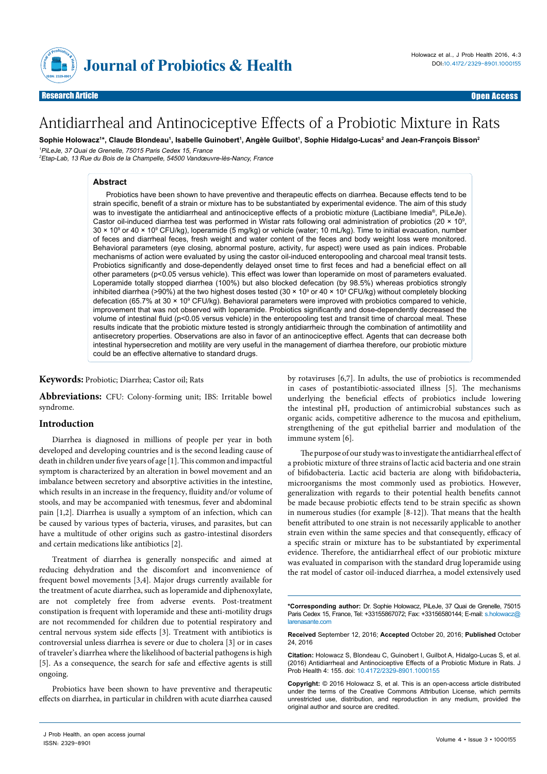

# Antidiarrheal and Antinociceptive Effects of a Probiotic Mixture in Rats

**Sophie Holowacz1 \*, Claude Blondeau1 , Isabelle Guinobert1 , Angèle Guilbot1 , Sophie Hidalgo-Lucas2 and Jean-François Bisson2** <sup>1</sup>PiLeJe, 37 Quai de Grenelle, 75015 Paris Cedex 15, France

2Etap-Lab, 13 Rue du Bois de la Champelle, 54500 Vandœuvre-lès-Nancy, France

## **Abstract**

Probiotics have been shown to have preventive and therapeutic effects on diarrhea. Because effects tend to be strain specific, benefit of a strain or mixture has to be substantiated by experimental evidence. The aim of this study was to investigate the antidiarrheal and antinociceptive effects of a probiotic mixture (Lactibiane Imedia®, PiLeJe). Castor oil-induced diarrhea test was performed in Wistar rats following oral administration of probiotics (20  $\times$  10<sup>9</sup>, 30 × 109 or 40 × 109 CFU/kg), loperamide (5 mg/kg) or vehicle (water; 10 mL/kg). Time to initial evacuation, number of feces and diarrheal feces, fresh weight and water content of the feces and body weight loss were monitored. Behavioral parameters (eye closing, abnormal posture, activity, fur aspect) were used as pain indices. Probable mechanisms of action were evaluated by using the castor oil-induced enteropooling and charcoal meal transit tests. Probiotics significantly and dose-dependently delayed onset time to first feces and had a beneficial effect on all other parameters (p<0.05 versus vehicle). This effect was lower than loperamide on most of parameters evaluated. Loperamide totally stopped diarrhea (100%) but also blocked defecation (by 98.5%) whereas probiotics strongly inhibited diarrhea (>90%) at the two highest doses tested (30 × 10º or 40 × 10º CFU/kg) without completely blocking defecation (65.7% at 30 × 10<sup>9</sup> CFU/kg). Behavioral parameters were improved with probiotics compared to vehicle, improvement that was not observed with loperamide. Probiotics significantly and dose-dependently decreased the volume of intestinal fluid (p<0.05 versus vehicle) in the enteropooling test and transit time of charcoal meal. These results indicate that the probiotic mixture tested is strongly antidiarrheic through the combination of antimotility and antisecretory properties. Observations are also in favor of an antinociceptive effect. Agents that can decrease both intestinal hypersecretion and motility are very useful in the management of diarrhea therefore, our probiotic mixture could be an effective alternative to standard drugs.

## **Keywords:** Probiotic; Diarrhea; Castor oil; Rats

**Abbreviations:** CFU: Colony-forming unit; IBS: Irritable bowel syndrome.

#### **Introduction**

Diarrhea is diagnosed in millions of people per year in both developed and developing countries and is the second leading cause of death in children under five years of age [1]. This common and impactful symptom is characterized by an alteration in bowel movement and an imbalance between secretory and absorptive activities in the intestine, which results in an increase in the frequency, fluidity and/or volume of stools, and may be accompanied with tenesmus, fever and abdominal pain [1,2]. Diarrhea is usually a symptom of an infection, which can be caused by various types of bacteria, viruses, and parasites, but can have a multitude of other origins such as gastro-intestinal disorders and certain medications like antibiotics [2].

Treatment of diarrhea is generally nonspecific and aimed at reducing dehydration and the discomfort and inconvenience of frequent bowel movements [3,4]. Major drugs currently available for the treatment of acute diarrhea, such as loperamide and diphenoxylate, are not completely free from adverse events. Post-treatment constipation is frequent with loperamide and these anti-motility drugs are not recommended for children due to potential respiratory and central nervous system side effects [3]. Treatment with antibiotics is controversial unless diarrhea is severe or due to cholera [3] or in cases of traveler's diarrhea where the likelihood of bacterial pathogens is high [5]. As a consequence, the search for safe and effective agents is still ongoing.

Probiotics have been shown to have preventive and therapeutic effects on diarrhea, in particular in children with acute diarrhea caused by rotaviruses [6,7]. In adults, the use of probiotics is recommended in cases of postantibiotic-associated illness [5]. The mechanisms underlying the beneficial effects of probiotics include lowering the intestinal pH, production of antimicrobial substances such as organic acids, competitive adherence to the mucosa and epithelium, strengthening of the gut epithelial barrier and modulation of the immune system [6].

The purpose of our study was to investigate the antidiarrheal effect of a probiotic mixture of three strains of lactic acid bacteria and one strain of bifidobacteria. Lactic acid bacteria are along with bifidobacteria, microorganisms the most commonly used as probiotics. However, generalization with regards to their potential health benefits cannot be made because probiotic effects tend to be strain specific as shown in numerous studies (for example [8-12]). That means that the health benefit attributed to one strain is not necessarily applicable to another strain even within the same species and that consequently, efficacy of a specific strain or mixture has to be substantiated by experimental evidence. Therefore, the antidiarrheal effect of our probiotic mixture was evaluated in comparison with the standard drug loperamide using the rat model of castor oil-induced diarrhea, a model extensively used

**Received** September 12, 2016; **Accepted** October 20, 2016; **Published** October 24, 2016

**Citation:** Holowacz S, Blondeau C, Guinobert I, Guilbot A, Hidalgo-Lucas S, et al. (2016) Antidiarrheal and Antinociceptive Effects of a Probiotic Mixture in Rats. J Prob Health 4: 155. doi: 10.4172/2329-8901.1000155

**Copyright:** © 2016 Holowacz S, et al. This is an open-access article distributed under the terms of the Creative Commons Attribution License, which permits unrestricted use, distribution, and reproduction in any medium, provided the original author and source are credited.

**<sup>\*</sup>Corresponding author:** Dr. Sophie Holowacz, PiLeJe, 37 Quai de Grenelle, 75015 Paris Cedex 15, France, Tel: +33155867072; Fax: +33156580144; E-mail: s.holowacz@ larenasante.com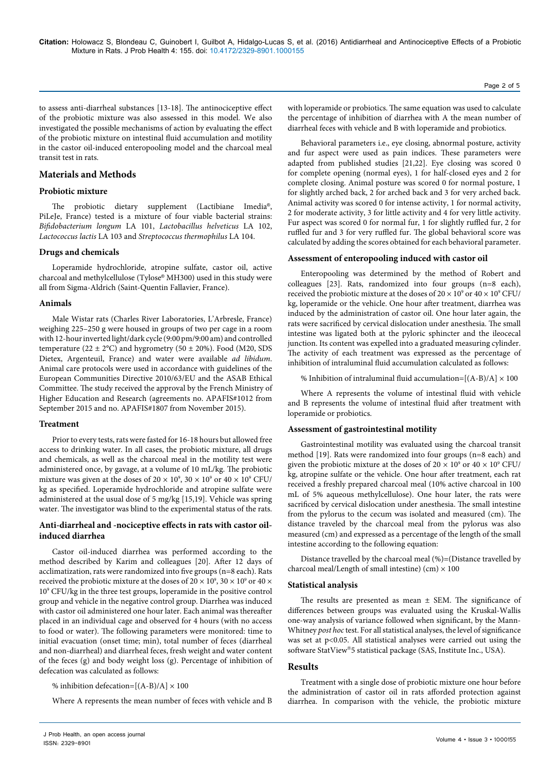to assess anti-diarrheal substances [13-18]. The antinociceptive effect of the probiotic mixture was also assessed in this model. We also investigated the possible mechanisms of action by evaluating the effect of the probiotic mixture on intestinal fluid accumulation and motility in the castor oil-induced enteropooling model and the charcoal meal transit test in rats.

# **Materials and Methods**

## **Probiotic mixture**

The probiotic dietary supplement (Lactibiane Imedia®, PiLeJe, France) tested is a mixture of four viable bacterial strains: *Bifidobacterium longum* LA 101, *Lactobacillus helveticus* LA 102, *Lactococcus lactis* LA 103 and *Streptococcus thermophilus* LA 104.

#### **Drugs and chemicals**

Loperamide hydrochloride, atropine sulfate, castor oil, active charcoal and methylcellulose (Tylose® MH300) used in this study were all from Sigma-Aldrich (Saint-Quentin Fallavier, France).

#### **Animals**

Male Wistar rats (Charles River Laboratories, L'Arbresle, France) weighing 225–250 g were housed in groups of two per cage in a room with 12-hour inverted light/dark cycle (9:00 pm/9:00 am) and controlled temperature  $(22 \pm 2^{\circ}\text{C})$  and hygrometry  $(50 \pm 20\%)$ . Food (M20, SDS) Dietex, Argenteuil, France) and water were available *ad libidum*. Animal care protocols were used in accordance with guidelines of the European Communities Directive 2010/63/EU and the ASAB Ethical Committee. The study received the approval by the French Ministry of Higher Education and Research (agreements no. APAFIS#1012 from September 2015 and no. APAFIS#1807 from November 2015).

#### **Treatment**

Prior to every tests, rats were fasted for 16-18 hours but allowed free access to drinking water. In all cases, the probiotic mixture, all drugs and chemicals, as well as the charcoal meal in the motility test were administered once, by gavage, at a volume of 10 mL/kg. The probiotic mixture was given at the doses of 20  $\times$  10°, 30  $\times$  10° or 40  $\times$  10° CFU/ kg as specified. Loperamide hydrochloride and atropine sulfate were administered at the usual dose of 5 mg/kg [15,19]. Vehicle was spring water. The investigator was blind to the experimental status of the rats.

### **Anti-diarrheal and -nociceptive effects in rats with castor oilinduced diarrhea**

Castor oil-induced diarrhea was performed according to the method described by Karim and colleagues [20]. After 12 days of acclimatization, rats were randomized into five groups (n=8 each). Rats received the probiotic mixture at the doses of 20  $\times$  10 $^{\rm 9}$ , 30  $\times$  10 $^{\rm 9}$  or 40  $\times$ 109 CFU/kg in the three test groups, loperamide in the positive control group and vehicle in the negative control group. Diarrhea was induced with castor oil administered one hour later. Each animal was thereafter placed in an individual cage and observed for 4 hours (with no access to food or water). The following parameters were monitored: time to initial evacuation (onset time; min), total number of feces (diarrheal and non-diarrheal) and diarrheal feces, fresh weight and water content of the feces (g) and body weight loss (g). Percentage of inhibition of defecation was calculated as follows:

% inhibition defecation= $[(A-B)/A] \times 100$ 

Where A represents the mean number of feces with vehicle and B

with loperamide or probiotics. The same equation was used to calculate the percentage of inhibition of diarrhea with A the mean number of diarrheal feces with vehicle and B with loperamide and probiotics.

Behavioral parameters i.e., eye closing, abnormal posture, activity and fur aspect were used as pain indices. These parameters were adapted from published studies [21,22]. Eye closing was scored 0 for complete opening (normal eyes), 1 for half-closed eyes and 2 for complete closing. Animal posture was scored 0 for normal posture, 1 for slightly arched back, 2 for arched back and 3 for very arched back. Animal activity was scored 0 for intense activity, 1 for normal activity, 2 for moderate activity, 3 for little activity and 4 for very little activity. Fur aspect was scored 0 for normal fur, 1 for slightly ruffled fur, 2 for ruffled fur and 3 for very ruffled fur. The global behavioral score was calculated by adding the scores obtained for each behavioral parameter.

## **Assessment of enteropooling induced with castor oil**

Enteropooling was determined by the method of Robert and colleagues [23]. Rats, randomized into four groups (n=8 each), received the probiotic mixture at the doses of  $20 \times 10^9$  or  $40 \times 10^9$  CFU/ kg, loperamide or the vehicle. One hour after treatment, diarrhea was induced by the administration of castor oil. One hour later again, the rats were sacrificed by cervical dislocation under anesthesia. The small intestine was ligated both at the pyloric sphincter and the ileocecal junction. Its content was expelled into a graduated measuring cylinder. The activity of each treatment was expressed as the percentage of inhibition of intraluminal fluid accumulation calculated as follows:

% Inhibition of intraluminal fluid accumulation= $[(A-B)/A] \times 100$ 

Where A represents the volume of intestinal fluid with vehicle and B represents the volume of intestinal fluid after treatment with loperamide or probiotics.

## **Assessment of gastrointestinal motility**

Gastrointestinal motility was evaluated using the charcoal transit method [19]. Rats were randomized into four groups (n=8 each) and given the probiotic mixture at the doses of  $20 \times 10^9$  or  $40 \times 10^9$  CFU/ kg, atropine sulfate or the vehicle. One hour after treatment, each rat received a freshly prepared charcoal meal (10% active charcoal in 100 mL of 5% aqueous methylcellulose). One hour later, the rats were sacrificed by cervical dislocation under anesthesia. The small intestine from the pylorus to the cecum was isolated and measured (cm). The distance traveled by the charcoal meal from the pylorus was also measured (cm) and expressed as a percentage of the length of the small intestine according to the following equation:

Distance travelled by the charcoal meal (%)=(Distance travelled by charcoal meal/Length of small intestine) (cm)  $\times$  100

#### **Statistical analysis**

The results are presented as mean  $\pm$  SEM. The significance of differences between groups was evaluated using the Kruskal-Wallis one-way analysis of variance followed when significant, by the Mann-Whitney *post hoc* test. For all statistical analyses, the level of significance was set at p<0.05. All statistical analyses were carried out using the software StatView®5 statistical package (SAS, Institute Inc., USA).

### **Results**

Treatment with a single dose of probiotic mixture one hour before the administration of castor oil in rats afforded protection against diarrhea. In comparison with the vehicle, the probiotic mixture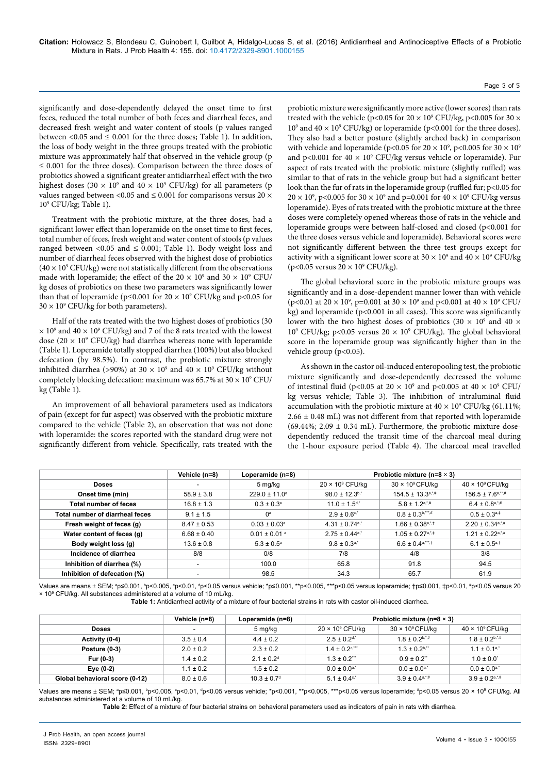significantly and dose-dependently delayed the onset time to first feces, reduced the total number of both feces and diarrheal feces, and decreased fresh weight and water content of stools (p values ranged between <0.05 and  $\leq$  0.001 for the three doses; Table 1). In addition, the loss of body weight in the three groups treated with the probiotic mixture was approximately half that observed in the vehicle group (p ≤ 0.001 for the three doses). Comparison between the three doses of probiotics showed a significant greater antidiarrheal effect with the two highest doses (30  $\times$  10<sup>9</sup> and 40  $\times$  10<sup>9</sup> CFU/kg) for all parameters (p values ranged between <0.05 and  $\leq$  0.001 for comparisons versus 20  $\times$ 109 CFU/kg; Table 1).

Treatment with the probiotic mixture, at the three doses, had a significant lower effect than loperamide on the onset time to first feces, total number of feces, fresh weight and water content of stools (p values ranged between <0.05 and  $\leq$  0.001; Table 1). Body weight loss and number of diarrheal feces observed with the highest dose of probiotics  $(40 \times 10^{9} \text{ CFU/kg})$  were not statistically different from the observations made with loperamide; the effect of the 20  $\times$  10<sup>9</sup> and 30  $\times$  10<sup>9</sup> CFU/ kg doses of probiotics on these two parameters was significantly lower than that of loperamide ( $p \le 0.001$  for  $20 \times 10^9$  CFU/kg and  $p < 0.05$  for  $30 \times 10^9$  CFU/kg for both parameters).

Half of the rats treated with the two highest doses of probiotics (30  $\times$  10<sup>9</sup> and 40  $\times$  10<sup>9</sup> CFU/kg) and 7 of the 8 rats treated with the lowest dose (20  $\times$  10<sup>9</sup> CFU/kg) had diarrhea whereas none with loperamide (Table 1). Loperamide totally stopped diarrhea (100%) but also blocked defecation (by 98.5%). In contrast, the probiotic mixture strongly inhibited diarrhea (>90%) at 30  $\times$  10<sup>9</sup> and 40  $\times$  10<sup>9</sup> CFU/kg without completely blocking defecation: maximum was  $65.7\%$  at  $30 \times 10^9$  CFU/ kg (Table 1).

An improvement of all behavioral parameters used as indicators of pain (except for fur aspect) was observed with the probiotic mixture compared to the vehicle (Table 2), an observation that was not done with loperamide: the scores reported with the standard drug were not significantly different from vehicle. Specifically, rats treated with the probiotic mixture were significantly more active (lower scores) than rats treated with the vehicle (p<0.05 for 20  $\times$  10<sup>9</sup> CFU/kg, p<0.005 for 30  $\times$ 10<sup>9</sup> and 40  $\times$  10<sup>9</sup> CFU/kg) or loperamide (p<0.001 for the three doses). They also had a better posture (slightly arched back) in comparison with vehicle and loperamide (p<0.05 for 20  $\times$  10<sup>9</sup>, p<0.005 for 30  $\times$  10<sup>9</sup> and p<0.001 for  $40 \times 10^9$  CFU/kg versus vehicle or loperamide). Fur aspect of rats treated with the probiotic mixture (slightly ruffled) was similar to that of rats in the vehicle group but had a significant better look than the fur of rats in the loperamide group (ruffled fur; p<0.05 for  $20 \times 10^9$ , p<0.005 for 30  $\times$  10<sup>9</sup> and p=0.001 for 40  $\times$  10<sup>9</sup> CFU/kg versus loperamide). Eyes of rats treated with the probiotic mixture at the three doses were completely opened whereas those of rats in the vehicle and loperamide groups were between half-closed and closed (p<0.001 for the three doses versus vehicle and loperamide). Behavioral scores were not significantly different between the three test groups except for activity with a significant lower score at  $30 \times 10^9$  and  $40 \times 10^9$  CFU/kg (p<0.05 versus  $20 \times 10^9$  CFU/kg).

The global behavioral score in the probiotic mixture groups was significantly and in a dose-dependent manner lower than with vehicle (p<0.01 at 20  $\times$  10<sup>9</sup>, p=0.001 at 30  $\times$  10<sup>9</sup> and p<0.001 at 40  $\times$  10<sup>9</sup> CFU/ kg) and loperamide ( $p<0.001$  in all cases). This score was significantly lower with the two highest doses of probiotics (30  $\times$  10<sup>9</sup> and 40  $\times$ 109 CFU/kg; p<0.05 versus 20 × 109 CFU/kg). The global behavioral score in the loperamide group was significantly higher than in the vehicle group (p<0.05).

As shown in the castor oil-induced enteropooling test, the probiotic mixture significantly and dose-dependently decreased the volume of intestinal fluid (p<0.05 at 20  $\times$  10<sup>9</sup> and p<0.005 at 40  $\times$  10<sup>9</sup> CFU/ kg versus vehicle; Table 3). The inhibition of intraluminal fluid accumulation with the probiotic mixture at  $40 \times 10^9$  CFU/kg (61.11%;  $2.66 \pm 0.48$  mL) was not different from that reported with loperamide (69.44%; 2.09  $\pm$  0.34 mL). Furthermore, the probiotic mixture dosedependently reduced the transit time of the charcoal meal during the 1-hour exposure period (Table 4). The charcoal meal travelled

|                                 | Vehicle (n=8)            | Loperamide (n=8)<br>5 mg/kg  | Probiotic mixture ( $n=8 \times 3$ ) |                                  |                                   |
|---------------------------------|--------------------------|------------------------------|--------------------------------------|----------------------------------|-----------------------------------|
| Doses                           |                          |                              | $20 \times 10^9$ CFU/kg              | $30 \times 10^9$ CFU/kg          | $40 \times 10^9$ CFU/kg           |
| Onset time (min)                | $58.9 \pm 3.8$           | $229.0 \pm 11.0^a$           | $98.0 \pm 12.3$ <sup>b,*</sup>       | $154.5 \pm 13.3$ <sup>a,*#</sup> | $156.5 \pm 7.6$ <sup>a,**,#</sup> |
| <b>Total number of feces</b>    | $16.8 \pm 1.3$           | $0.3 \pm 0.3^{\circ}$        | $11.0 \pm 1.5$ <sup>d,*</sup>        | $5.8 + 1.2a^{4}$                 | $6.4 \pm 0.8$ <sup>a*#</sup>      |
| Total number of diarrheal feces | $9.1 \pm 1.5$            | $0^a$                        | $2.9 \pm 0.6$ <sup>c.*</sup>         | $0.8 \pm 0.3$ <sup>b,***,#</sup> | $0.5 \pm 0.3a+1}$                 |
| Fresh weight of feces (g)       | $8.47 \pm 0.53$          | $0.03 \pm 0.03^{\circ}$      | $4.31 \pm 0.74$ <sup>a</sup>         | $1.66 \pm 0.38$ <sup>a,*,‡</sup> | $2.20 \pm 0.34$ <sup>a,*,#</sup>  |
| Water content of feces (g)      | $6.68 \pm 0.40$          | $0.01 \pm 0.01$ <sup>a</sup> | $2.75 \pm 0.44$ <sup>a,*</sup>       | $1.05 \pm 0.27$ <sup>a*.‡</sup>  | $1.21 \pm 0.22$ a,*,#             |
| Body weight loss (g)            | $13.6 \pm 0.8$           | $5.3 \pm 0.5^{\circ}$        | $9.8 \pm 0.3$ <sup>a,*</sup>         | $6.6 \pm 0.4$ <sup>a,***,†</sup> | $6.1 \pm 0.5^{a,t}$               |
| Incidence of diarrhea           | 8/8                      | 0/8                          | 7/8                                  | 4/8                              | 3/8                               |
| Inhibition of diarrhea (%)      | $\overline{\phantom{a}}$ | 100.0                        | 65.8                                 | 91.8                             | 94.5                              |
| Inhibition of defecation (%)    | -                        | 98.5                         | 34.3                                 | 65.7                             | 61.9                              |

Values are means ± SEM; ªp≤0.001, <sup>ь</sup>p<0.005, °p<0.01, <sup>«</sup>p<0.05 versus vehicle; \*p≤0.001, \*\*p<0.005, \*\*\*p<0.05 versus loperamide; †p≤0.001, ‡p<0.01, #p<0.05 versus 20 × 109 CFU/kg. All substances administered at a volume of 10 mL/kg.

**Table 1:** Antidiarrheal activity of a mixture of four bacterial strains in rats with castor oil-induced diarrhea.

|                                | Vehicle (n=8) | Loperamide (n=8)            | Probiotic mixture ( $n=8 \times 3$ ) |                                |                                |
|--------------------------------|---------------|-----------------------------|--------------------------------------|--------------------------------|--------------------------------|
| <b>Doses</b>                   |               | 5 mg/kg                     | $20 \times 10^9$ CFU/kg              | $30 \times 10^9$ CFU/kg        | $40 \times 10^9$ CFU/kg        |
| Activity (0-4)                 | $3.5 \pm 0.4$ | $4.4 \pm 0.2$               | $2.5 \pm 0.2$ <sup>d,*</sup>         | $1.8 \pm 0.2$ <sup>b,*,#</sup> | $1.8 \pm 0.2$ <sup>b,*,#</sup> |
| Posture (0-3)                  | $2.0 \pm 0.2$ | $2.3 \pm 0.2$               | $1.4 \pm 0.2$ <sup>c,</sup>          | $1.3 + 0.2^{b,*}$              | $1.1 \pm 0.1$ <sup>a,*</sup>   |
| Fur (0-3)                      | $1.4 \pm 0.2$ | $2.1 \pm 0.2$ <sup>d</sup>  | $1.3 \pm 0.2$ "                      | $0.9 \pm 0.2$ "                | $1.0 \pm 0.0^{\circ}$          |
| Eye (0-2)                      | $1.1 \pm 0.2$ | $1.5 \pm 0.2$               | $0.0 \pm 0.0^{a,*}$                  | $0.0 \pm 0.0^{a,*}$            | $0.0 \pm 0.0^{a,*}$            |
| Global behavioral score (0-12) | $8.0 \pm 0.6$ | $10.3 \pm 0.7$ <sup>d</sup> | $5.1 \pm 0.4$ <sup>c,*</sup>         | $3.9 \pm 0.4$ <sup>a,*,#</sup> | $3.9 \pm 0.2$ <sup>a*#</sup>   |

Values are means ± SEM; ªp≤0.001, <sup>b</sup>p<0.005, °p<0.01, ªp<0.05 versus vehicle; \*p<0.001, \*\*p<0.005, \*\*\*p<0.05 versus loperamide; \*p<0.05 versus 20 × 10º CFU/kg. All substances administered at a volume of 10 mL/kg.

**Table 2:** Effect of a mixture of four bacterial strains on behavioral parameters used as indicators of pain in rats with diarrhea.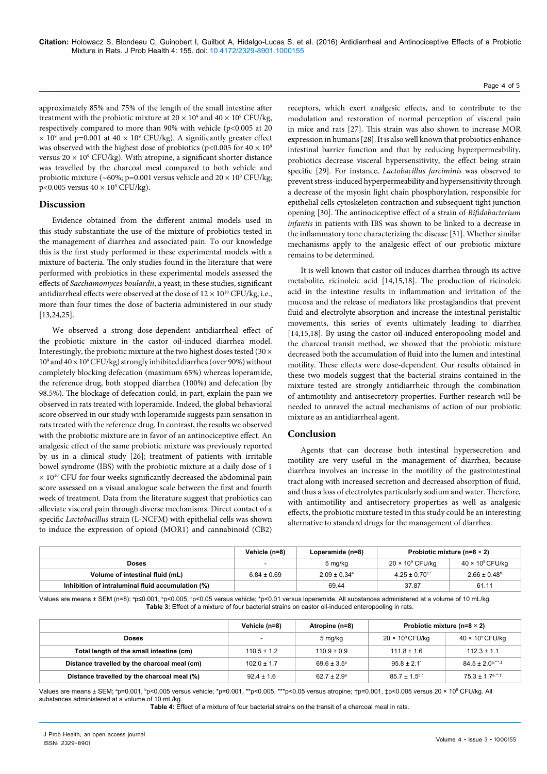### Page 4 of 5

approximately 85% and 75% of the length of the small intestine after treatment with the probiotic mixture at 20  $\times$  10<sup>9</sup> and 40  $\times$  10<sup>9</sup> CFU/kg, respectively compared to more than 90% with vehicle (p<0.005 at 20  $\times$  10<sup>9</sup> and p=0.001 at 40  $\times$  10<sup>9</sup> CFU/kg). A significantly greater effect was observed with the highest dose of probiotics (p<0.005 for  $40 \times 10^9$ ) versus  $20 \times 10^9$  CFU/kg). With atropine, a significant shorter distance was travelled by the charcoal meal compared to both vehicle and probiotic mixture (~60%; p=0.001 versus vehicle and 20  $\times$  10 $^9$  CFU/kg;  $p<0.005$  versus  $40 \times 10^9$  CFU/kg).

#### **Discussion**

Evidence obtained from the different animal models used in this study substantiate the use of the mixture of probiotics tested in the management of diarrhea and associated pain. To our knowledge this is the first study performed in these experimental models with a mixture of bacteria. The only studies found in the literature that were performed with probiotics in these experimental models assessed the effects of *Sacchamomyces boulardii*, a yeast; in these studies, significant antidiarrheal effects were observed at the dose of  $12 \times 10^{10}$  CFU/kg, i.e., more than four times the dose of bacteria administered in our study [13,24,25].

We observed a strong dose-dependent antidiarrheal effect of the probiotic mixture in the castor oil-induced diarrhea model. Interestingly, the probiotic mixture at the two highest doses tested (30  $\times$ 109 and 40 × 109 CFU/kg) strongly inhibited diarrhea (over 90%) without completely blocking defecation (maximum 65%) whereas loperamide, the reference drug, both stopped diarrhea (100%) and defecation (by 98.5%). The blockage of defecation could, in part, explain the pain we observed in rats treated with loperamide. Indeed, the global behavioral score observed in our study with loperamide suggests pain sensation in rats treated with the reference drug. In contrast, the results we observed with the probiotic mixture are in favor of an antinociceptive effect. An analgesic effect of the same probiotic mixture was previously reported by us in a clinical study [26]; treatment of patients with irritable bowel syndrome (IBS) with the probiotic mixture at a daily dose of 1  $\times$  10<sup>10</sup> CFU for four weeks significantly decreased the abdominal pain score assessed on a visual analogue scale between the first and fourth week of treatment. Data from the literature suggest that probiotics can alleviate visceral pain through diverse mechanisms. Direct contact of a specific *Lactobacillus* strain (L-NCFM) with epithelial cells was shown to induce the expression of opioid (MOR1) and cannabinoid (CB2)

receptors, which exert analgesic effects, and to contribute to the modulation and restoration of normal perception of visceral pain in mice and rats [27]. This strain was also shown to increase MOR expression in humans [28]. It is also well known that probiotics enhance intestinal barrier function and that by reducing hyperpermeability, probiotics decrease visceral hypersensitivity, the effect being strain specific [29]. For instance, *Lactobacillus farciminis* was observed to prevent stress-induced hyperpermeability and hypersensitivity through a decrease of the myosin light chain phosphorylation, responsible for epithelial cells cytoskeleton contraction and subsequent tight junction opening [30]. The antinociceptive effect of a strain of *Bifidobacterium infantis* in patients with IBS was shown to be linked to a decrease in the inflammatory tone characterizing the disease [31]. Whether similar mechanisms apply to the analgesic effect of our probiotic mixture remains to be determined.

It is well known that castor oil induces diarrhea through its active metabolite, ricinoleic acid [14,15,18]. The production of ricinoleic acid in the intestine results in inflammation and irritation of the mucosa and the release of mediators like prostaglandins that prevent fluid and electrolyte absorption and increase the intestinal peristaltic movements, this series of events ultimately leading to diarrhea [14,15,18]. By using the castor oil-induced enteropooling model and the charcoal transit method, we showed that the probiotic mixture decreased both the accumulation of fluid into the lumen and intestinal motility. These effects were dose-dependent. Our results obtained in these two models suggest that the bacterial strains contained in the mixture tested are strongly antidiarrheic through the combination of antimotility and antisecretory properties. Further research will be needed to unravel the actual mechanisms of action of our probiotic mixture as an antidiarrheal agent.

## **Conclusion**

Agents that can decrease both intestinal hypersecretion and motility are very useful in the management of diarrhea, because diarrhea involves an increase in the motility of the gastrointestinal tract along with increased secretion and decreased absorption of fluid, and thus a loss of electrolytes particularly sodium and water. Therefore, with antimotility and antisecretory properties as well as analgesic effects, the probiotic mixture tested in this study could be an interesting alternative to standard drugs for the management of diarrhea.

|                                                   | Vehicle (n=8)   | Loperamide (n=8)        | Probiotic mixture ( $n=8 \times 2$ ) |                              |
|---------------------------------------------------|-----------------|-------------------------|--------------------------------------|------------------------------|
| <b>Doses</b>                                      | -               | 5 mg/kg                 | $20 \times 10^9$ CFU/kg              | $40 \times 10^9$ CFU/kg      |
| Volume of intestinal fluid (mL)                   | $6.84 \pm 0.69$ | $2.09 \pm 0.34^{\circ}$ | $4.25 \pm 0.70$ <sup>c.*</sup>       | $2.66 \pm 0.48$ <sup>b</sup> |
| Inhibition of intraluminal fluid accumulation (%) |                 | 69.44                   | 37.87                                | 61.11                        |

Values are means ± SEM (n=8); ªp≤0.001, <sup>b</sup>p<0.005, °p<0.05 versus vehicle; \*p<0.01 versus loperamide. All substances administered at a volume of 10 mL/kg. **Table 3:** Effect of a mixture of four bacterial strains on castor oil-induced enteropooling in rats.

|                                              | Vehicle (n=8)            | Atropine (n=8)         | Probiotic mixture ( $n=8 \times 2$ ) |                                                |
|----------------------------------------------|--------------------------|------------------------|--------------------------------------|------------------------------------------------|
| <b>Doses</b>                                 | $\overline{\phantom{a}}$ | 5 mg/kg                | $20 \times 10^9$ CFU/kg              | $40 \times 10^9$ CFU/kg                        |
| Total length of the small intestine (cm)     | $110.5 \pm 1.2$          | $110.9 \pm 0.9$        | $111.8 \pm 1.6$                      | $112.3 \pm 1.1$                                |
| Distance travelled by the charcoal meal (cm) | $102.0 \pm 1.7$          | $69.6 \pm 3.5^{\circ}$ | $95.8 \pm 2.1$                       | $84.5 \pm 2.0$ <sup>a,***</sup> . <sup>‡</sup> |
| Distance travelled by the charcoal meal (%)  | $92.4 \pm 1.6$           | $62.7 \pm 2.9^{\circ}$ | $85.7 \pm 1.5$ <sup>b,*</sup>        | $75.3 \pm 1.7$ <sup>a,**,†</sup>               |

Values are means ± SEM; ªp=0.001, <sup>ь</sup>p<0.005 versus vehicle; \*p=0.001, \*\*p<0.005, \*\*\*p<0.05 versus atropine; †p=0.001, ‡p<0.005 versus 20 × 10º CFU/kg. All substances administered at a volume of 10 mL/kg.

**Table 4:** Effect of a mixture of four bacterial strains on the transit of a charcoal meal in rats.